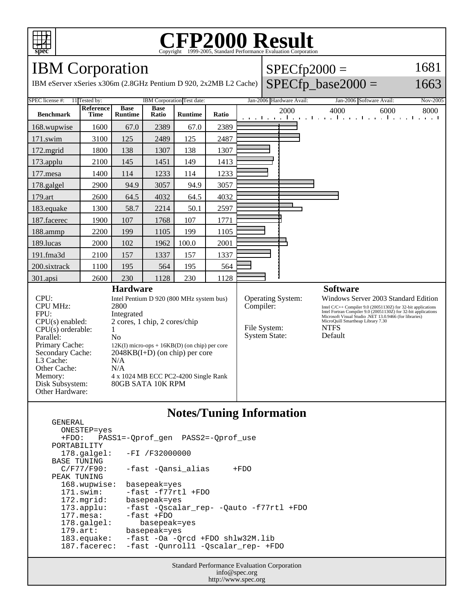

## C<sub>opyright</sub> ©1999-2005, Standard Performance Evaluation Corporation

IBM Corporation

IBM eServer xSeries x306m (2.8GHz Pentium D 920, 2x2M

|  | $SPECfp2000 =$                  | 1681                     |          |  |
|--|---------------------------------|--------------------------|----------|--|
|  | $B L2$ Cache) SPECfp_base2000 = |                          | 1663     |  |
|  | Jan-2006 Hardware Avail:        | Jan-2006 Software Avail: | Nov-2005 |  |

| 11 Tested by:<br>SPEC license #:                                     |                          | <b>IBM</b> Corporation Test date: |                      | Jan-2006 Hardware Avail: |             |                                   | Jan-2006 Software Avail:<br>Nov-2005 |                                                                                                                                                                                          |      |      |
|----------------------------------------------------------------------|--------------------------|-----------------------------------|----------------------|--------------------------|-------------|-----------------------------------|--------------------------------------|------------------------------------------------------------------------------------------------------------------------------------------------------------------------------------------|------|------|
| <b>Benchmark</b>                                                     | Reference<br><b>Time</b> | <b>Base</b><br><b>Runtime</b>     | <b>Base</b><br>Ratio | <b>Runtime</b>           | Ratio       |                                   | 2000                                 | 4000<br>المتواجب والمتوجا وتواجه والمتواجئ والمتواد                                                                                                                                      | 6000 | 8000 |
| 168.wupwise                                                          | 1600                     | 67.0                              | 2389                 | 67.0                     | 2389        |                                   |                                      |                                                                                                                                                                                          |      |      |
| $171$ .swim                                                          | 3100                     | 125                               | 2489                 | 125                      | 2487        |                                   |                                      |                                                                                                                                                                                          |      |      |
| $172$ .mgrid                                                         | 1800                     | 138                               | 1307                 | 138                      | 1307        |                                   |                                      |                                                                                                                                                                                          |      |      |
| 173.applu                                                            | 2100                     | 145                               | 1451                 | 149                      | 1413        |                                   |                                      |                                                                                                                                                                                          |      |      |
| $177$ mesa                                                           | 1400                     | 114                               | 1233                 | 114                      | 1233        |                                   |                                      |                                                                                                                                                                                          |      |      |
| 178.galgel                                                           | 2900                     | 94.9                              | 3057                 | 94.9                     | 3057        |                                   |                                      |                                                                                                                                                                                          |      |      |
| 179.art                                                              | 2600                     | 64.5                              | 4032                 | 64.5                     | 4032        |                                   |                                      |                                                                                                                                                                                          |      |      |
| 183.equake                                                           | 1300                     | 58.7                              | 2214                 | 50.1                     | 2597        |                                   |                                      |                                                                                                                                                                                          |      |      |
| 187.facerec                                                          | 1900                     | 107                               | 1768                 | 107                      | 1771        |                                   |                                      |                                                                                                                                                                                          |      |      |
| 188.ammp                                                             | 2200                     | 199                               | 1105                 | 199                      | 1105        |                                   |                                      |                                                                                                                                                                                          |      |      |
| 189.lucas                                                            | 2000                     | 102                               | 1962                 | 100.0                    | 2001        |                                   |                                      |                                                                                                                                                                                          |      |      |
| $191$ .fma $3d$                                                      | 2100                     | 157                               | 1337                 | 157                      | 1337        |                                   |                                      |                                                                                                                                                                                          |      |      |
| 200.sixtrack                                                         | 1100                     | 195                               | 564                  | 195                      | 564         |                                   |                                      |                                                                                                                                                                                          |      |      |
| 301.apsi                                                             | 2600                     | 230                               | 1128                 | 230                      | 1128        |                                   |                                      |                                                                                                                                                                                          |      |      |
| <b>Hardware</b>                                                      |                          |                                   |                      |                          |             | <b>Software</b>                   |                                      |                                                                                                                                                                                          |      |      |
| CPU:<br>Intel Pentium D 920 (800 MHz system bus)                     |                          |                                   |                      | <b>Operating System:</b> |             |                                   | Windows Server 2003 Standard Edition |                                                                                                                                                                                          |      |      |
| <b>CPU MHz:</b>                                                      | 2800                     |                                   |                      |                          | Compiler:   |                                   |                                      | Intel C/C++ Compiler 9.0 (20051130Z) for 32-bit applications<br>Intel Fortran Compiler 9.0 (20051130Z) for 32-bit applications<br>Microsoft Visual Studio .NET 13.0.9466 (for libraries) |      |      |
| FPU:<br>Integrated                                                   |                          |                                   |                      |                          |             |                                   |                                      |                                                                                                                                                                                          |      |      |
| 2 cores, 1 chip, 2 cores/chip<br>$CPU(s)$ enabled:                   |                          |                                   |                      |                          |             | MicroQuill Smartheap Library 7.30 |                                      |                                                                                                                                                                                          |      |      |
| $CPU(s)$ orderable:<br>1                                             |                          |                                   | File System:         |                          | <b>NTFS</b> |                                   |                                      |                                                                                                                                                                                          |      |      |
| N <sub>0</sub><br>Parallel:                                          |                          |                                   | <b>System State:</b> |                          | Default     |                                   |                                      |                                                                                                                                                                                          |      |      |
| Primary Cache:<br>$12K(I)$ micro-ops + $16KB(D)$ (on chip) per core  |                          |                                   |                      |                          |             |                                   |                                      |                                                                                                                                                                                          |      |      |
| Secondary Cache:<br>$2048KB(I+D)$ (on chip) per core                 |                          |                                   |                      |                          |             |                                   |                                      |                                                                                                                                                                                          |      |      |
| L3 Cache:<br>N/A                                                     |                          |                                   |                      |                          |             |                                   |                                      |                                                                                                                                                                                          |      |      |
| Other Cache:                                                         |                          | N/A                               |                      |                          |             |                                   |                                      |                                                                                                                                                                                          |      |      |
| Memory:<br>4 x 1024 MB ECC PC2-4200 Single Rank<br>80GB SATA 10K RPM |                          |                                   |                      |                          |             |                                   |                                      |                                                                                                                                                                                          |      |      |
| Disk Subsystem:<br>Other Hardware:                                   |                          |                                   |                      |                          |             |                                   |                                      |                                                                                                                                                                                          |      |      |
|                                                                      |                          |                                   |                      |                          |             |                                   |                                      |                                                                                                                                                                                          |      |      |

## **Notes/Tuning Information**

 GENERAL ONESTEP=yes +FDO: PASS1=-Qprof\_gen PASS2=-Qprof\_use PORTABILITY<br>178.qalqel: -FI /F32000000 BASE TUNING<br>C/F77/F90: -fast -Qansi\_alias +FDO PEAK TUNING 168.wupwise: basepeak=yes 171.swim: -fast -f77rtl +FDO 172.mgrid: basepeak=yes 173.applu: -fast -Qscalar\_rep- -Qauto -f77rtl +FDO 177.mesa: -fast +FDO<br>178.galgel: basepeal 178.galgel: basepeak=yes<br>179.art: basepeak=yes 179.art: basepeak=yes<br>183.equake: -fast -Oa -Q 183.equake: -fast -Oa -Qrcd +FDO shlw32M.lib -fast -Qunroll1 -Qscalar\_rep- +FDO

> Standard Performance Evaluation Corporation info@spec.org http://www.spec.org